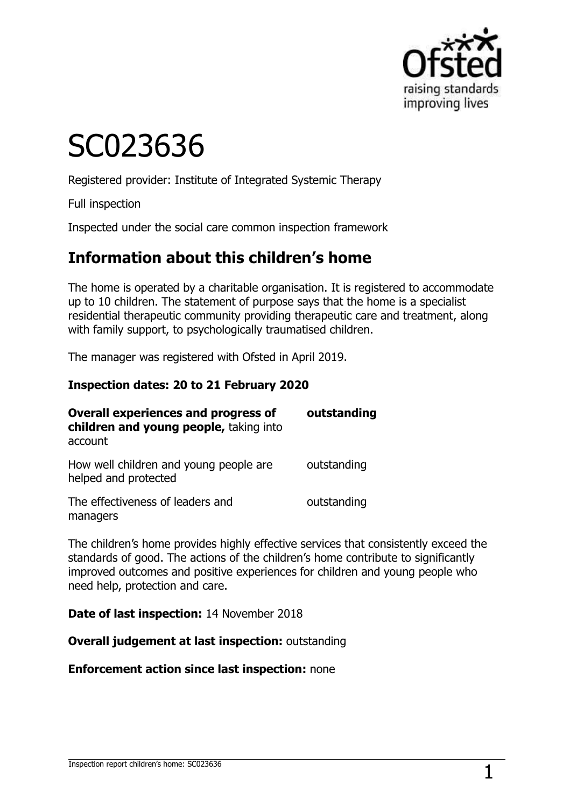

# SC023636

Registered provider: Institute of Integrated Systemic Therapy

Full inspection

Inspected under the social care common inspection framework

## **Information about this children's home**

The home is operated by a charitable organisation. It is registered to accommodate up to 10 children. The statement of purpose says that the home is a specialist residential therapeutic community providing therapeutic care and treatment, along with family support, to psychologically traumatised children.

The manager was registered with Ofsted in April 2019.

#### **Inspection dates: 20 to 21 February 2020**

| <b>Overall experiences and progress of</b><br>children and young people, taking into<br>account | outstanding |  |
|-------------------------------------------------------------------------------------------------|-------------|--|
| How well children and young people are<br>helped and protected                                  | outstanding |  |
| The effectiveness of leaders and<br>managers                                                    | outstanding |  |

The children's home provides highly effective services that consistently exceed the standards of good. The actions of the children's home contribute to significantly improved outcomes and positive experiences for children and young people who need help, protection and care.

**Date of last inspection:** 14 November 2018

**Overall judgement at last inspection:** outstanding

**Enforcement action since last inspection:** none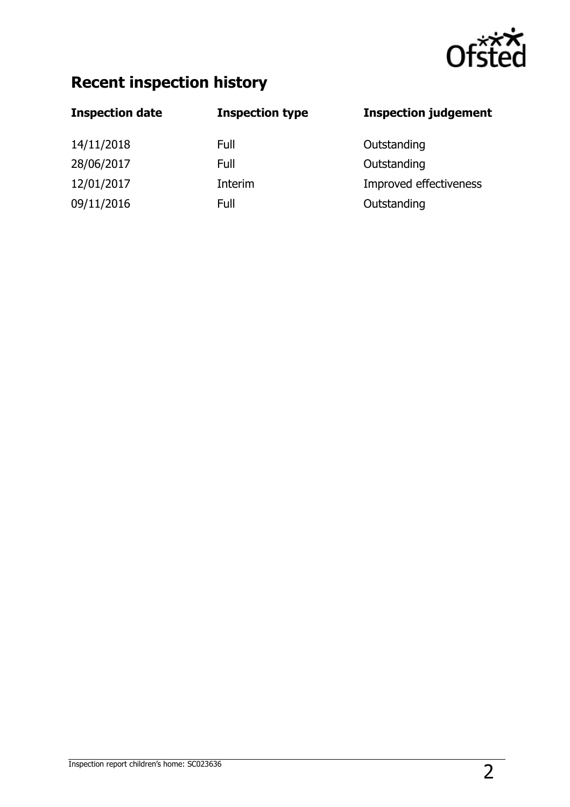

## **Recent inspection history**

| <b>Inspection date</b> | <b>Inspection type</b> | <b>Inspection judgement</b> |
|------------------------|------------------------|-----------------------------|
| 14/11/2018             | Full                   | Outstanding                 |
| 28/06/2017             | Full                   | Outstanding                 |
| 12/01/2017             | Interim                | Improved effectiveness      |
| 09/11/2016             | Full                   | Outstanding                 |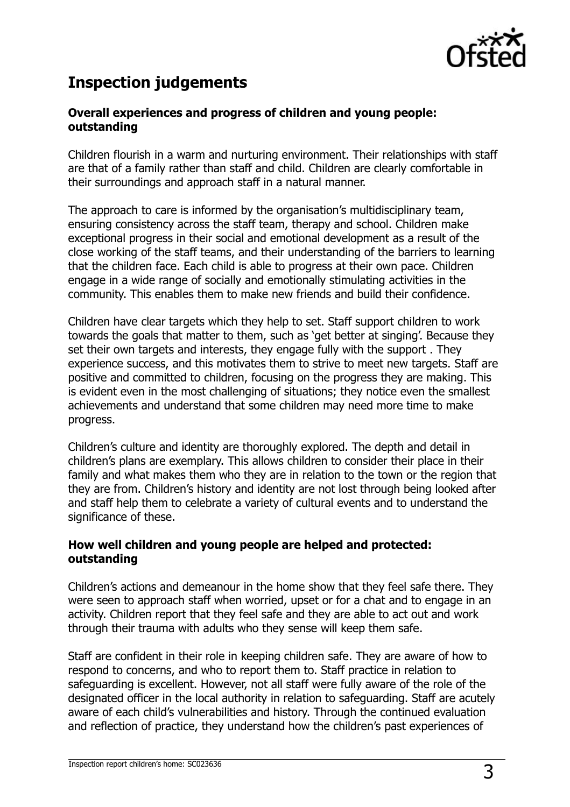

## **Inspection judgements**

#### **Overall experiences and progress of children and young people: outstanding**

Children flourish in a warm and nurturing environment. Their relationships with staff are that of a family rather than staff and child. Children are clearly comfortable in their surroundings and approach staff in a natural manner.

The approach to care is informed by the organisation's multidisciplinary team, ensuring consistency across the staff team, therapy and school. Children make exceptional progress in their social and emotional development as a result of the close working of the staff teams, and their understanding of the barriers to learning that the children face. Each child is able to progress at their own pace. Children engage in a wide range of socially and emotionally stimulating activities in the community. This enables them to make new friends and build their confidence.

Children have clear targets which they help to set. Staff support children to work towards the goals that matter to them, such as 'get better at singing'. Because they set their own targets and interests, they engage fully with the support . They experience success, and this motivates them to strive to meet new targets. Staff are positive and committed to children, focusing on the progress they are making. This is evident even in the most challenging of situations; they notice even the smallest achievements and understand that some children may need more time to make progress.

Children's culture and identity are thoroughly explored. The depth and detail in children's plans are exemplary. This allows children to consider their place in their family and what makes them who they are in relation to the town or the region that they are from. Children's history and identity are not lost through being looked after and staff help them to celebrate a variety of cultural events and to understand the significance of these.

#### **How well children and young people are helped and protected: outstanding**

Children's actions and demeanour in the home show that they feel safe there. They were seen to approach staff when worried, upset or for a chat and to engage in an activity. Children report that they feel safe and they are able to act out and work through their trauma with adults who they sense will keep them safe.

Staff are confident in their role in keeping children safe. They are aware of how to respond to concerns, and who to report them to. Staff practice in relation to safeguarding is excellent. However, not all staff were fully aware of the role of the designated officer in the local authority in relation to safeguarding. Staff are acutely aware of each child's vulnerabilities and history. Through the continued evaluation and reflection of practice, they understand how the children's past experiences of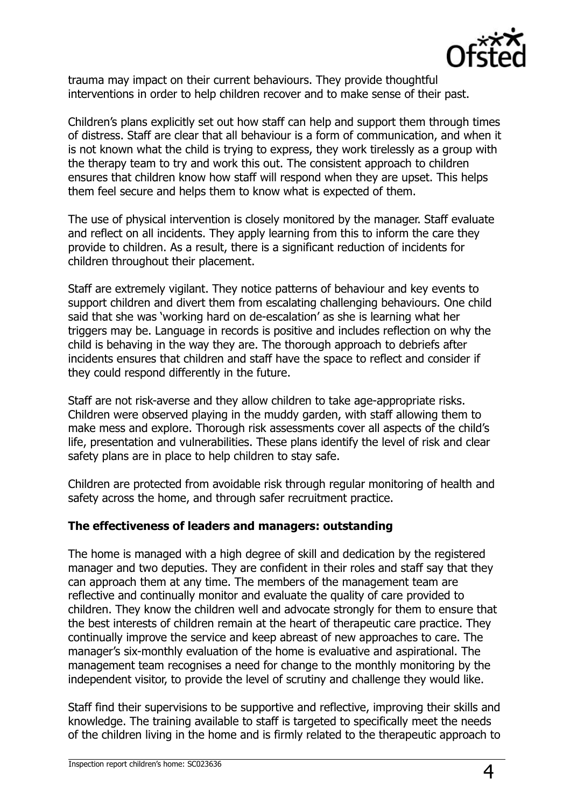

trauma may impact on their current behaviours. They provide thoughtful interventions in order to help children recover and to make sense of their past.

Children's plans explicitly set out how staff can help and support them through times of distress. Staff are clear that all behaviour is a form of communication, and when it is not known what the child is trying to express, they work tirelessly as a group with the therapy team to try and work this out. The consistent approach to children ensures that children know how staff will respond when they are upset. This helps them feel secure and helps them to know what is expected of them.

The use of physical intervention is closely monitored by the manager. Staff evaluate and reflect on all incidents. They apply learning from this to inform the care they provide to children. As a result, there is a significant reduction of incidents for children throughout their placement.

Staff are extremely vigilant. They notice patterns of behaviour and key events to support children and divert them from escalating challenging behaviours. One child said that she was 'working hard on de-escalation' as she is learning what her triggers may be. Language in records is positive and includes reflection on why the child is behaving in the way they are. The thorough approach to debriefs after incidents ensures that children and staff have the space to reflect and consider if they could respond differently in the future.

Staff are not risk-averse and they allow children to take age-appropriate risks. Children were observed playing in the muddy garden, with staff allowing them to make mess and explore. Thorough risk assessments cover all aspects of the child's life, presentation and vulnerabilities. These plans identify the level of risk and clear safety plans are in place to help children to stay safe.

Children are protected from avoidable risk through regular monitoring of health and safety across the home, and through safer recruitment practice.

#### **The effectiveness of leaders and managers: outstanding**

The home is managed with a high degree of skill and dedication by the registered manager and two deputies. They are confident in their roles and staff say that they can approach them at any time. The members of the management team are reflective and continually monitor and evaluate the quality of care provided to children. They know the children well and advocate strongly for them to ensure that the best interests of children remain at the heart of therapeutic care practice. They continually improve the service and keep abreast of new approaches to care. The manager's six-monthly evaluation of the home is evaluative and aspirational. The management team recognises a need for change to the monthly monitoring by the independent visitor, to provide the level of scrutiny and challenge they would like.

Staff find their supervisions to be supportive and reflective, improving their skills and knowledge. The training available to staff is targeted to specifically meet the needs of the children living in the home and is firmly related to the therapeutic approach to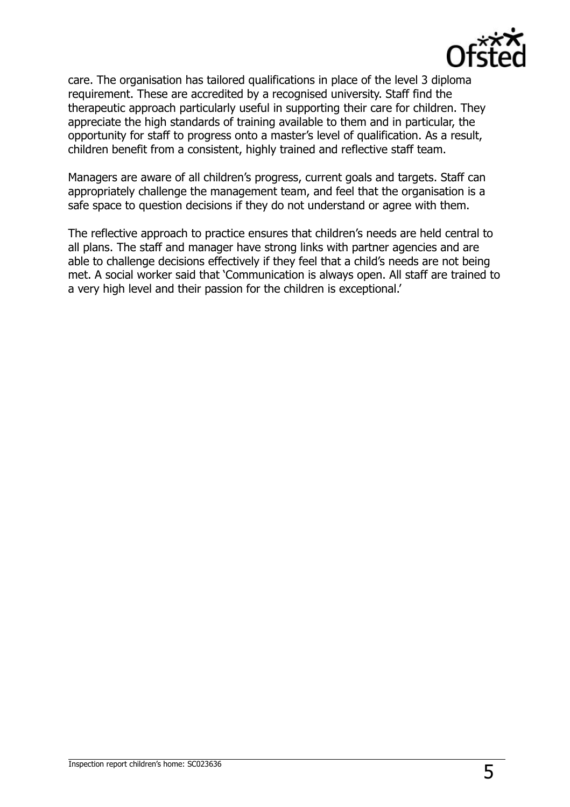

care. The organisation has tailored qualifications in place of the level 3 diploma requirement. These are accredited by a recognised university. Staff find the therapeutic approach particularly useful in supporting their care for children. They appreciate the high standards of training available to them and in particular, the opportunity for staff to progress onto a master's level of qualification. As a result, children benefit from a consistent, highly trained and reflective staff team.

Managers are aware of all children's progress, current goals and targets. Staff can appropriately challenge the management team, and feel that the organisation is a safe space to question decisions if they do not understand or agree with them.

The reflective approach to practice ensures that children's needs are held central to all plans. The staff and manager have strong links with partner agencies and are able to challenge decisions effectively if they feel that a child's needs are not being met. A social worker said that 'Communication is always open. All staff are trained to a very high level and their passion for the children is exceptional.'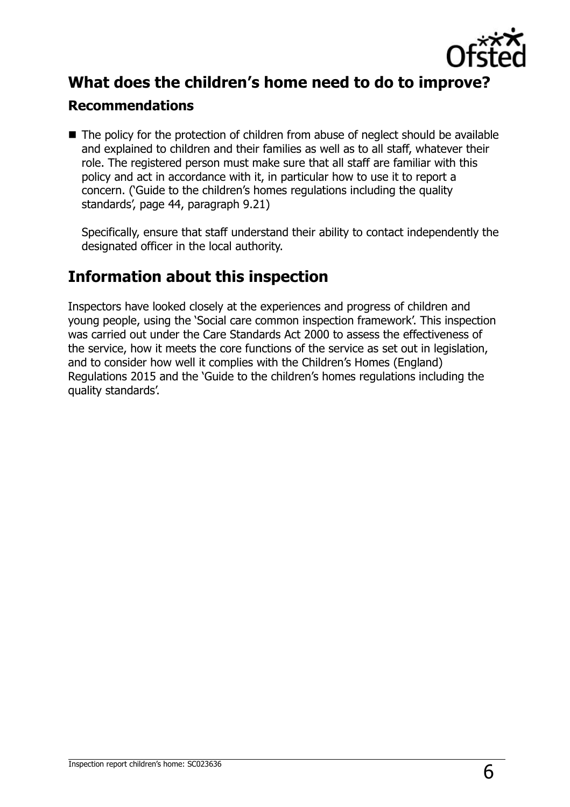

## **What does the children's home need to do to improve?**

#### **Recommendations**

■ The policy for the protection of children from abuse of neglect should be available and explained to children and their families as well as to all staff, whatever their role. The registered person must make sure that all staff are familiar with this policy and act in accordance with it, in particular how to use it to report a concern. ('Guide to the children's homes regulations including the quality standards', page 44, paragraph 9.21)

Specifically, ensure that staff understand their ability to contact independently the designated officer in the local authority.

## **Information about this inspection**

Inspectors have looked closely at the experiences and progress of children and young people, using the 'Social care common inspection framework'. This inspection was carried out under the Care Standards Act 2000 to assess the effectiveness of the service, how it meets the core functions of the service as set out in legislation, and to consider how well it complies with the Children's Homes (England) Regulations 2015 and the 'Guide to the children's homes regulations including the quality standards'.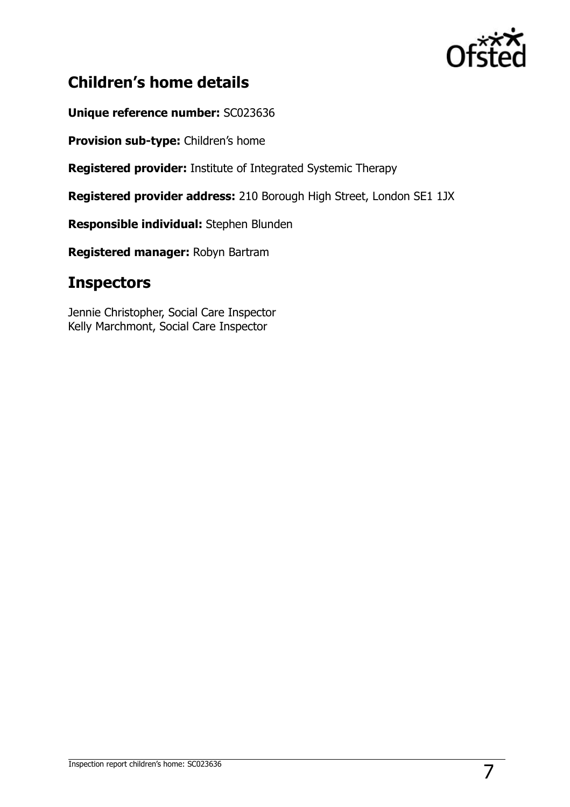

## **Children's home details**

**Unique reference number:** SC023636

**Provision sub-type:** Children's home

**Registered provider:** Institute of Integrated Systemic Therapy

**Registered provider address:** 210 Borough High Street, London SE1 1JX

**Responsible individual:** Stephen Blunden

**Registered manager:** Robyn Bartram

## **Inspectors**

Jennie Christopher, Social Care Inspector Kelly Marchmont, Social Care Inspector